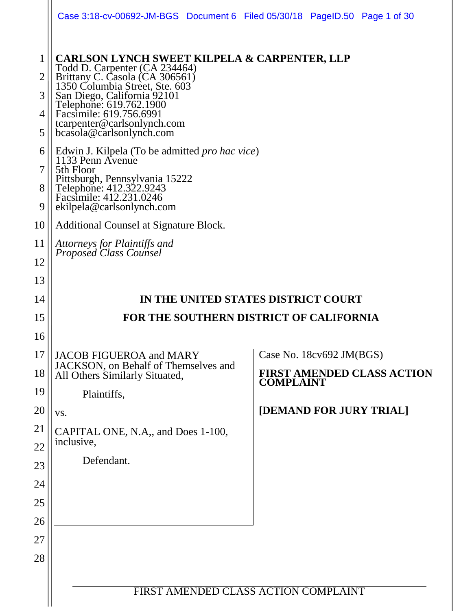|                                                   | Case 3:18-cv-00692-JM-BGS Document 6 Filed 05/30/18 PageID.50 Page 1 of 30                                                                                                                                                                                                                                                                                             |                                                       |  |  |
|---------------------------------------------------|------------------------------------------------------------------------------------------------------------------------------------------------------------------------------------------------------------------------------------------------------------------------------------------------------------------------------------------------------------------------|-------------------------------------------------------|--|--|
| $\mathbf 1$<br>$\overline{2}$<br>3<br>4<br>5<br>6 | <b>CARLSON LYNCH SWEET KILPELA &amp; CARPENTER, LLP</b><br>Todd D. Carpenter (CA 234464)<br>Brittany C. Casola (CA 306561)<br>1350 Columbia Street, Ste. 603<br>San Diego, California 92101<br>Telephone: 619.762.1900<br>Facsimile: 619.756.6991<br>tcarpenter@carlsonlynch.com<br>bcasola@carlsonlynch.com<br>Edwin J. Kilpela (To be admitted <i>pro hac vice</i> ) |                                                       |  |  |
| 7<br>8<br>9                                       | 1133 Penn Avenue<br>5th Floor<br>Pittsburgh, Pennsylvania 15222<br>Telephone: 412.322.9243<br>Facsimile: 412.231.0246<br>ekilpela@carlsonlynch.com                                                                                                                                                                                                                     |                                                       |  |  |
| 10                                                | Additional Counsel at Signature Block.                                                                                                                                                                                                                                                                                                                                 |                                                       |  |  |
| 11<br>12                                          | Attorneys for Plaintiffs and<br>Proposed Class Counsel                                                                                                                                                                                                                                                                                                                 |                                                       |  |  |
| 13                                                |                                                                                                                                                                                                                                                                                                                                                                        |                                                       |  |  |
| 14                                                | IN THE UNITED STATES DISTRICT COURT                                                                                                                                                                                                                                                                                                                                    |                                                       |  |  |
| 15                                                | FOR THE SOUTHERN DISTRICT OF CALIFORNIA                                                                                                                                                                                                                                                                                                                                |                                                       |  |  |
| 16                                                |                                                                                                                                                                                                                                                                                                                                                                        |                                                       |  |  |
| 17                                                | JACOB FIGUEROA and MARY                                                                                                                                                                                                                                                                                                                                                | Case No. 18cv692 JM(BGS)                              |  |  |
| 18                                                | JACKSON, on Behalf of Themselves and<br>All Others Similarly Situated,                                                                                                                                                                                                                                                                                                 | <b>FIRST AMENDED CLASS ACTION</b><br><b>COMPLAINT</b> |  |  |
| 19                                                | Plaintiffs,                                                                                                                                                                                                                                                                                                                                                            |                                                       |  |  |
| 20                                                | VS.                                                                                                                                                                                                                                                                                                                                                                    | [DEMAND FOR JURY TRIAL]                               |  |  |
| 21<br>22                                          | CAPITAL ONE, N.A., and Does 1-100,<br>inclusive,                                                                                                                                                                                                                                                                                                                       |                                                       |  |  |
| 23                                                | Defendant.                                                                                                                                                                                                                                                                                                                                                             |                                                       |  |  |
| 24                                                |                                                                                                                                                                                                                                                                                                                                                                        |                                                       |  |  |
| 25                                                |                                                                                                                                                                                                                                                                                                                                                                        |                                                       |  |  |
| 26                                                |                                                                                                                                                                                                                                                                                                                                                                        |                                                       |  |  |
|                                                   |                                                                                                                                                                                                                                                                                                                                                                        |                                                       |  |  |
| 27                                                |                                                                                                                                                                                                                                                                                                                                                                        |                                                       |  |  |
| 28                                                |                                                                                                                                                                                                                                                                                                                                                                        |                                                       |  |  |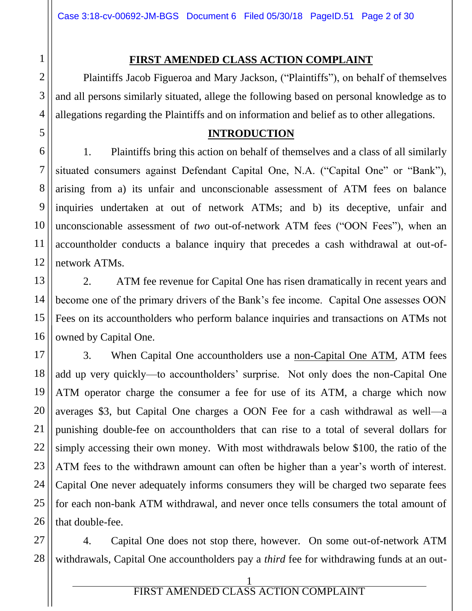#### **FIRST AMENDED CLASS ACTION COMPLAINT**

Plaintiffs Jacob Figueroa and Mary Jackson, ("Plaintiffs"), on behalf of themselves and all persons similarly situated, allege the following based on personal knowledge as to allegations regarding the Plaintiffs and on information and belief as to other allegations.

#### **INTRODUCTION**

1. Plaintiffs bring this action on behalf of themselves and a class of all similarly situated consumers against Defendant Capital One, N.A. ("Capital One" or "Bank"), arising from a) its unfair and unconscionable assessment of ATM fees on balance inquiries undertaken at out of network ATMs; and b) its deceptive, unfair and unconscionable assessment of *two* out-of-network ATM fees ("OON Fees"), when an accountholder conducts a balance inquiry that precedes a cash withdrawal at out-ofnetwork ATMs.

2. ATM fee revenue for Capital One has risen dramatically in recent years and become one of the primary drivers of the Bank's fee income. Capital One assesses OON Fees on its accountholders who perform balance inquiries and transactions on ATMs not owned by Capital One.

3. When Capital One accountholders use a non-Capital One ATM, ATM fees add up very quickly—to accountholders' surprise. Not only does the non-Capital One ATM operator charge the consumer a fee for use of its ATM, a charge which now averages \$3, but Capital One charges a OON Fee for a cash withdrawal as well—a punishing double-fee on accountholders that can rise to a total of several dollars for simply accessing their own money. With most withdrawals below \$100, the ratio of the ATM fees to the withdrawn amount can often be higher than a year's worth of interest. Capital One never adequately informs consumers they will be charged two separate fees for each non-bank ATM withdrawal, and never once tells consumers the total amount of that double-fee.

4. Capital One does not stop there, however. On some out-of-network ATM withdrawals, Capital One accountholders pay a *third* fee for withdrawing funds at an out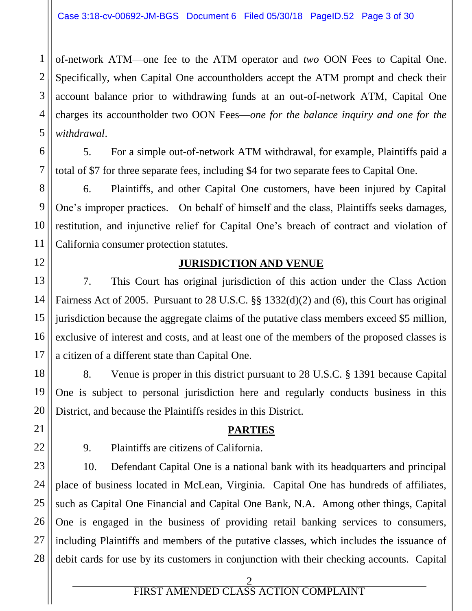of-network ATM—one fee to the ATM operator and *two* OON Fees to Capital One. Specifically, when Capital One accountholders accept the ATM prompt and check their account balance prior to withdrawing funds at an out-of-network ATM, Capital One charges its accountholder two OON Fees—*one for the balance inquiry and one for the withdrawal*.

5. For a simple out-of-network ATM withdrawal, for example, Plaintiffs paid a total of \$7 for three separate fees, including \$4 for two separate fees to Capital One.

6. Plaintiffs, and other Capital One customers, have been injured by Capital One's improper practices. On behalf of himself and the class, Plaintiffs seeks damages, restitution, and injunctive relief for Capital One's breach of contract and violation of California consumer protection statutes.

#### **JURISDICTION AND VENUE**

7. This Court has original jurisdiction of this action under the Class Action Fairness Act of 2005. Pursuant to 28 U.S.C. §§ 1332(d)(2) and (6), this Court has original jurisdiction because the aggregate claims of the putative class members exceed \$5 million, exclusive of interest and costs, and at least one of the members of the proposed classes is a citizen of a different state than Capital One.

8. Venue is proper in this district pursuant to 28 U.S.C. § 1391 because Capital One is subject to personal jurisdiction here and regularly conducts business in this District, and because the Plaintiffs resides in this District.

## **PARTIES**

1

2

3

4

5

6

7

8

9

10

11

12

13

14

15

16

17

18

19

20

21

22

27

9. Plaintiffs are citizens of California.

23 24 25 26 28 10. Defendant Capital One is a national bank with its headquarters and principal place of business located in McLean, Virginia. Capital One has hundreds of affiliates, such as Capital One Financial and Capital One Bank, N.A. Among other things, Capital One is engaged in the business of providing retail banking services to consumers, including Plaintiffs and members of the putative classes, which includes the issuance of debit cards for use by its customers in conjunction with their checking accounts. Capital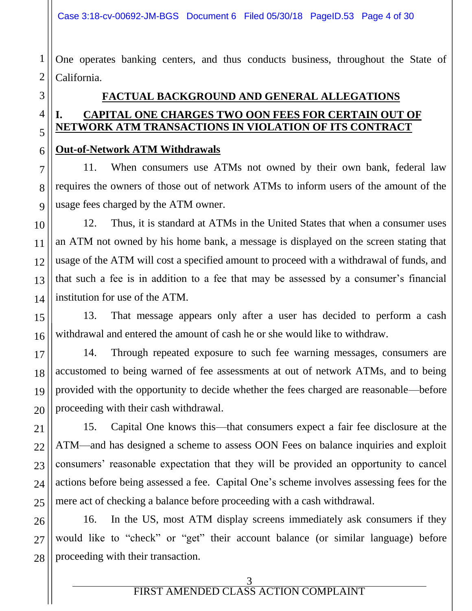One operates banking centers, and thus conducts business, throughout the State of California.

# **FACTUAL BACKGROUND AND GENERAL ALLEGATIONS I. CAPITAL ONE CHARGES TWO OON FEES FOR CERTAIN OUT OF NETWORK ATM TRANSACTIONS IN VIOLATION OF ITS CONTRACT**

#### **Out-of-Network ATM Withdrawals**

11. When consumers use ATMs not owned by their own bank, federal law requires the owners of those out of network ATMs to inform users of the amount of the usage fees charged by the ATM owner.

12. Thus, it is standard at ATMs in the United States that when a consumer uses an ATM not owned by his home bank, a message is displayed on the screen stating that usage of the ATM will cost a specified amount to proceed with a withdrawal of funds, and that such a fee is in addition to a fee that may be assessed by a consumer's financial institution for use of the ATM.

13. That message appears only after a user has decided to perform a cash withdrawal and entered the amount of cash he or she would like to withdraw.

14. Through repeated exposure to such fee warning messages, consumers are accustomed to being warned of fee assessments at out of network ATMs, and to being provided with the opportunity to decide whether the fees charged are reasonable—before proceeding with their cash withdrawal.

15. Capital One knows this—that consumers expect a fair fee disclosure at the ATM—and has designed a scheme to assess OON Fees on balance inquiries and exploit consumers' reasonable expectation that they will be provided an opportunity to cancel actions before being assessed a fee. Capital One's scheme involves assessing fees for the mere act of checking a balance before proceeding with a cash withdrawal.

16. In the US, most ATM display screens immediately ask consumers if they would like to "check" or "get" their account balance (or similar language) before proceeding with their transaction.

1

2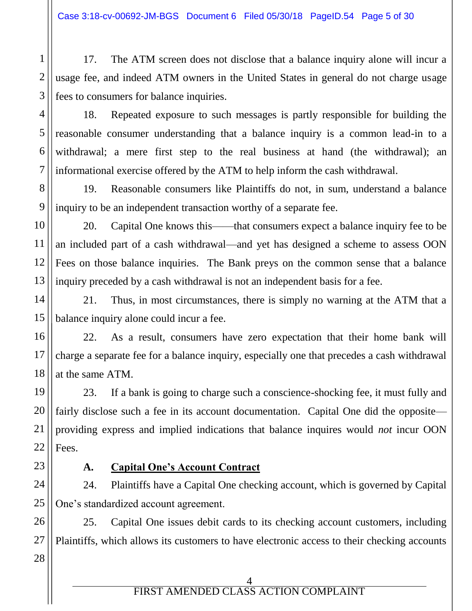17. The ATM screen does not disclose that a balance inquiry alone will incur a usage fee, and indeed ATM owners in the United States in general do not charge usage fees to consumers for balance inquiries.

18. Repeated exposure to such messages is partly responsible for building the reasonable consumer understanding that a balance inquiry is a common lead-in to a withdrawal; a mere first step to the real business at hand (the withdrawal); an informational exercise offered by the ATM to help inform the cash withdrawal.

19. Reasonable consumers like Plaintiffs do not, in sum, understand a balance inquiry to be an independent transaction worthy of a separate fee.

20. Capital One knows this——that consumers expect a balance inquiry fee to be an included part of a cash withdrawal—and yet has designed a scheme to assess OON Fees on those balance inquiries. The Bank preys on the common sense that a balance inquiry preceded by a cash withdrawal is not an independent basis for a fee.

21. Thus, in most circumstances, there is simply no warning at the ATM that a balance inquiry alone could incur a fee.

22. As a result, consumers have zero expectation that their home bank will charge a separate fee for a balance inquiry, especially one that precedes a cash withdrawal at the same ATM.

23. If a bank is going to charge such a conscience-shocking fee, it must fully and fairly disclose such a fee in its account documentation. Capital One did the opposite providing express and implied indications that balance inquires would *not* incur OON Fees.

1

2

3

4

5

6

7

8

9

10

11

12

13

14

15

16

17

18

19

20

21

22

23

26

27

28

## **A. Capital One's Account Contract**

24 25 24. Plaintiffs have a Capital One checking account, which is governed by Capital One's standardized account agreement.

25. Capital One issues debit cards to its checking account customers, including Plaintiffs, which allows its customers to have electronic access to their checking accounts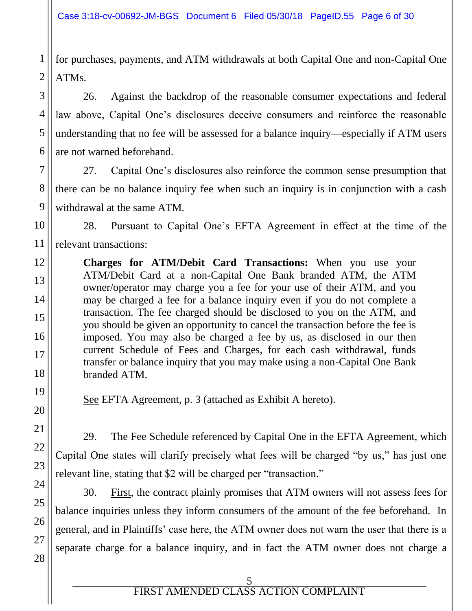1 2 for purchases, payments, and ATM withdrawals at both Capital One and non-Capital One ATMs.

3

4

5

6

7

8

9

11

12

13

14

15

16

17

18

19

20

21

22

23

24

25

26

27

28

26. Against the backdrop of the reasonable consumer expectations and federal law above, Capital One's disclosures deceive consumers and reinforce the reasonable understanding that no fee will be assessed for a balance inquiry—especially if ATM users are not warned beforehand.

27. Capital One's disclosures also reinforce the common sense presumption that there can be no balance inquiry fee when such an inquiry is in conjunction with a cash withdrawal at the same ATM.

10 28. Pursuant to Capital One's EFTA Agreement in effect at the time of the relevant transactions:

**Charges for ATM/Debit Card Transactions:** When you use your ATM/Debit Card at a non-Capital One Bank branded ATM, the ATM owner/operator may charge you a fee for your use of their ATM, and you may be charged a fee for a balance inquiry even if you do not complete a transaction. The fee charged should be disclosed to you on the ATM, and you should be given an opportunity to cancel the transaction before the fee is imposed. You may also be charged a fee by us, as disclosed in our then current Schedule of Fees and Charges, for each cash withdrawal, funds transfer or balance inquiry that you may make using a non-Capital One Bank branded ATM.

See EFTA Agreement, p. 3 (attached as Exhibit A hereto).

29. The Fee Schedule referenced by Capital One in the EFTA Agreement, which Capital One states will clarify precisely what fees will be charged "by us," has just one relevant line, stating that \$2 will be charged per "transaction."

30. First, the contract plainly promises that ATM owners will not assess fees for balance inquiries unless they inform consumers of the amount of the fee beforehand. In general, and in Plaintiffs' case here, the ATM owner does not warn the user that there is a separate charge for a balance inquiry, and in fact the ATM owner does not charge a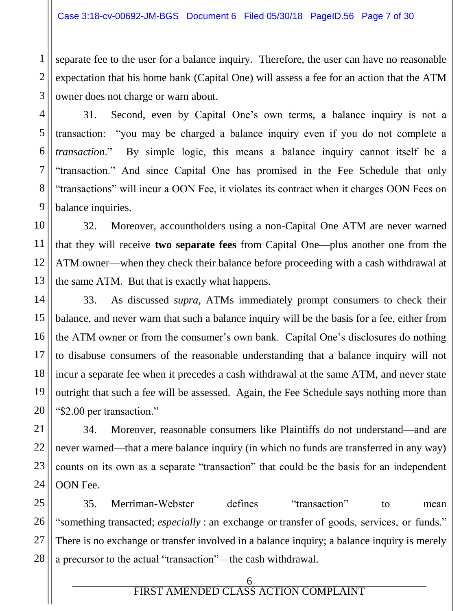1

2

3

4

5

6

7

8

9

10

11

12

13

21

22

23

24

separate fee to the user for a balance inquiry. Therefore, the user can have no reasonable expectation that his home bank (Capital One) will assess a fee for an action that the ATM owner does not charge or warn about.

31. Second, even by Capital One's own terms, a balance inquiry is not a transaction: "you may be charged a balance inquiry even if you do not complete a *transaction*." By simple logic, this means a balance inquiry cannot itself be a "transaction." And since Capital One has promised in the Fee Schedule that only "transactions" will incur a OON Fee, it violates its contract when it charges OON Fees on balance inquiries.

32. Moreover, accountholders using a non-Capital One ATM are never warned that they will receive **two separate fees** from Capital One—plus another one from the ATM owner—when they check their balance before proceeding with a cash withdrawal at the same ATM. But that is exactly what happens.

14 15 16 17 18 19 20 33. As discussed *supra*, ATMs immediately prompt consumers to check their balance, and never warn that such a balance inquiry will be the basis for a fee, either from the ATM owner or from the consumer's own bank. Capital One's disclosures do nothing to disabuse consumers of the reasonable understanding that a balance inquiry will not incur a separate fee when it precedes a cash withdrawal at the same ATM, and never state outright that such a fee will be assessed. Again, the Fee Schedule says nothing more than "\$2.00 per transaction."

34. Moreover, reasonable consumers like Plaintiffs do not understand—and are never warned—that a mere balance inquiry (in which no funds are transferred in any way) counts on its own as a separate "transaction" that could be the basis for an independent OON Fee.

25 26 27 28 35. Merriman-Webster defines "transaction" to mean "something transacted; *especially* : an exchange or transfer of goods, services, or funds." There is no exchange or transfer involved in a balance inquiry; a balance inquiry is merely a precursor to the actual "transaction"—the cash withdrawal.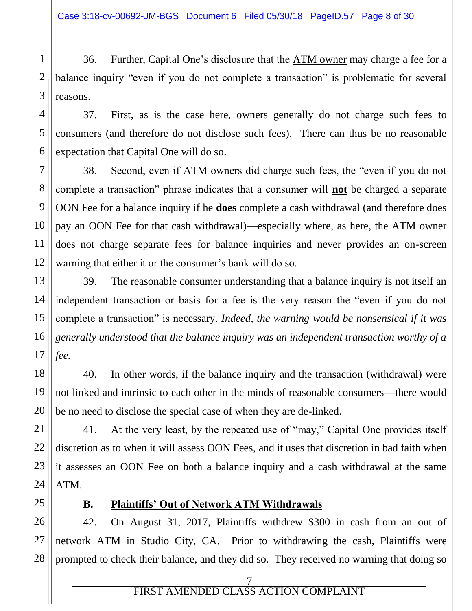36. Further, Capital One's disclosure that the ATM owner may charge a fee for a balance inquiry "even if you do not complete a transaction" is problematic for several reasons.

37. First, as is the case here, owners generally do not charge such fees to consumers (and therefore do not disclose such fees). There can thus be no reasonable expectation that Capital One will do so.

38. Second, even if ATM owners did charge such fees, the "even if you do not complete a transaction" phrase indicates that a consumer will **not** be charged a separate OON Fee for a balance inquiry if he **does** complete a cash withdrawal (and therefore does pay an OON Fee for that cash withdrawal)—especially where, as here, the ATM owner does not charge separate fees for balance inquiries and never provides an on-screen warning that either it or the consumer's bank will do so.

13 16 39. The reasonable consumer understanding that a balance inquiry is not itself an independent transaction or basis for a fee is the very reason the "even if you do not complete a transaction" is necessary. *Indeed, the warning would be nonsensical if it was generally understood that the balance inquiry was an independent transaction worthy of a fee.*

40. In other words, if the balance inquiry and the transaction (withdrawal) were not linked and intrinsic to each other in the minds of reasonable consumers—there would be no need to disclose the special case of when they are de-linked.

21 22 23 24 41. At the very least, by the repeated use of "may," Capital One provides itself discretion as to when it will assess OON Fees, and it uses that discretion in bad faith when it assesses an OON Fee on both a balance inquiry and a cash withdrawal at the same ATM.

1

2

3

4

5

6

7

8

9

10

11

12

14

15

17

18

19

20

25

## **B. Plaintiffs' Out of Network ATM Withdrawals**

26 27 28 42. On August 31, 2017, Plaintiffs withdrew \$300 in cash from an out of network ATM in Studio City, CA. Prior to withdrawing the cash, Plaintiffs were prompted to check their balance, and they did so. They received no warning that doing so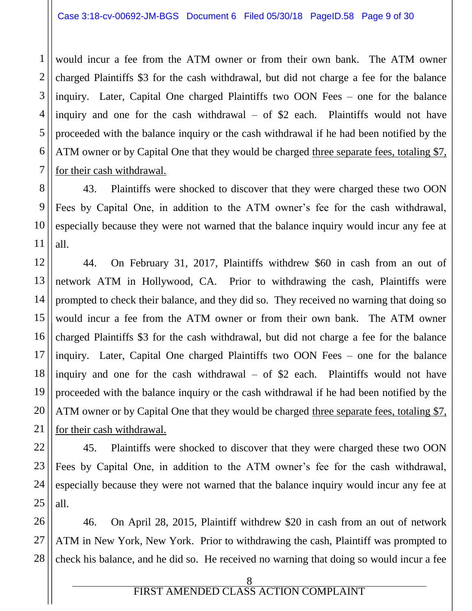would incur a fee from the ATM owner or from their own bank. The ATM owner charged Plaintiffs \$3 for the cash withdrawal, but did not charge a fee for the balance inquiry. Later, Capital One charged Plaintiffs two OON Fees – one for the balance inquiry and one for the cash withdrawal – of \$2 each. Plaintiffs would not have proceeded with the balance inquiry or the cash withdrawal if he had been notified by the ATM owner or by Capital One that they would be charged three separate fees, totaling \$7, for their cash withdrawal.

43. Plaintiffs were shocked to discover that they were charged these two OON Fees by Capital One, in addition to the ATM owner's fee for the cash withdrawal, especially because they were not warned that the balance inquiry would incur any fee at all.

44. On February 31, 2017, Plaintiffs withdrew \$60 in cash from an out of network ATM in Hollywood, CA. Prior to withdrawing the cash, Plaintiffs were prompted to check their balance, and they did so. They received no warning that doing so would incur a fee from the ATM owner or from their own bank. The ATM owner charged Plaintiffs \$3 for the cash withdrawal, but did not charge a fee for the balance inquiry. Later, Capital One charged Plaintiffs two OON Fees – one for the balance inquiry and one for the cash withdrawal – of \$2 each. Plaintiffs would not have proceeded with the balance inquiry or the cash withdrawal if he had been notified by the ATM owner or by Capital One that they would be charged three separate fees, totaling \$7, for their cash withdrawal.

45. Plaintiffs were shocked to discover that they were charged these two OON Fees by Capital One, in addition to the ATM owner's fee for the cash withdrawal, especially because they were not warned that the balance inquiry would incur any fee at all.

26 27 28 46. On April 28, 2015, Plaintiff withdrew \$20 in cash from an out of network ATM in New York, New York. Prior to withdrawing the cash, Plaintiff was prompted to check his balance, and he did so. He received no warning that doing so would incur a fee

1

2

3

4

5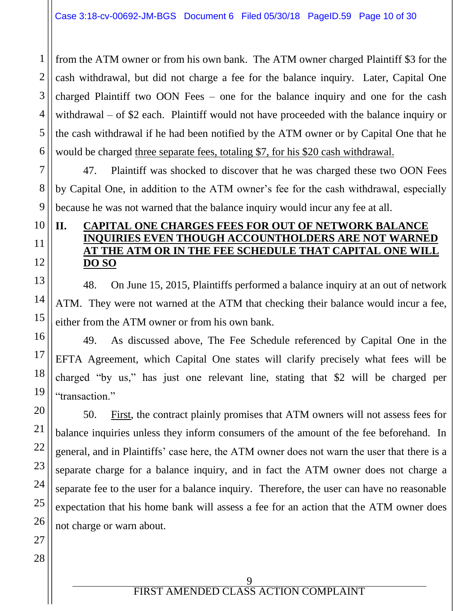1 2 3 from the ATM owner or from his own bank. The ATM owner charged Plaintiff \$3 for the cash withdrawal, but did not charge a fee for the balance inquiry. Later, Capital One charged Plaintiff two OON Fees – one for the balance inquiry and one for the cash withdrawal – of \$2 each. Plaintiff would not have proceeded with the balance inquiry or the cash withdrawal if he had been notified by the ATM owner or by Capital One that he would be charged three separate fees, totaling \$7, for his \$20 cash withdrawal.

47. Plaintiff was shocked to discover that he was charged these two OON Fees by Capital One, in addition to the ATM owner's fee for the cash withdrawal, especially because he was not warned that the balance inquiry would incur any fee at all.

## **II. CAPITAL ONE CHARGES FEES FOR OUT OF NETWORK BALANCE INQUIRIES EVEN THOUGH ACCOUNTHOLDERS ARE NOT WARNED AT THE ATM OR IN THE FEE SCHEDULE THAT CAPITAL ONE WILL DO SO**

48. On June 15, 2015, Plaintiffs performed a balance inquiry at an out of network ATM. They were not warned at the ATM that checking their balance would incur a fee, either from the ATM owner or from his own bank.

49. As discussed above, The Fee Schedule referenced by Capital One in the EFTA Agreement, which Capital One states will clarify precisely what fees will be charged "by us," has just one relevant line, stating that \$2 will be charged per "transaction."

50. First, the contract plainly promises that ATM owners will not assess fees for balance inquiries unless they inform consumers of the amount of the fee beforehand. In general, and in Plaintiffs' case here, the ATM owner does not warn the user that there is a separate charge for a balance inquiry, and in fact the ATM owner does not charge a separate fee to the user for a balance inquiry. Therefore, the user can have no reasonable expectation that his home bank will assess a fee for an action that the ATM owner does not charge or warn about.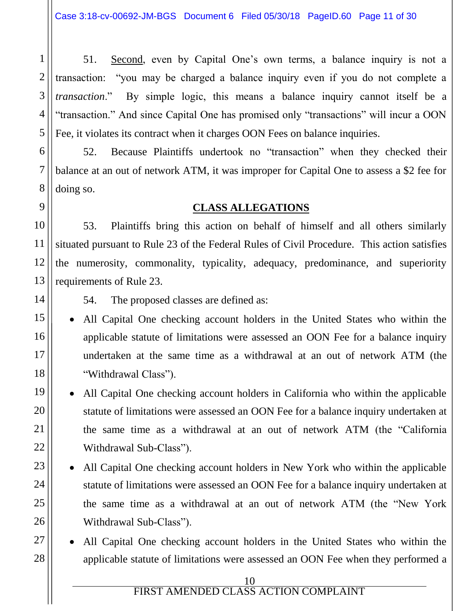3 4 5 51. Second, even by Capital One's own terms, a balance inquiry is not a transaction: "you may be charged a balance inquiry even if you do not complete a *transaction*." By simple logic, this means a balance inquiry cannot itself be a "transaction." And since Capital One has promised only "transactions" will incur a OON Fee, it violates its contract when it charges OON Fees on balance inquiries.

52. Because Plaintiffs undertook no "transaction" when they checked their balance at an out of network ATM, it was improper for Capital One to assess a \$2 fee for doing so.

#### **CLASS ALLEGATIONS**

53. Plaintiffs bring this action on behalf of himself and all others similarly situated pursuant to Rule 23 of the Federal Rules of Civil Procedure. This action satisfies the numerosity, commonality, typicality, adequacy, predominance, and superiority requirements of Rule 23.

54. The proposed classes are defined as:

 All Capital One checking account holders in the United States who within the applicable statute of limitations were assessed an OON Fee for a balance inquiry undertaken at the same time as a withdrawal at an out of network ATM (the "Withdrawal Class").

• All Capital One checking account holders in California who within the applicable statute of limitations were assessed an OON Fee for a balance inquiry undertaken at the same time as a withdrawal at an out of network ATM (the "California Withdrawal Sub-Class").

- All Capital One checking account holders in New York who within the applicable statute of limitations were assessed an OON Fee for a balance inquiry undertaken at the same time as a withdrawal at an out of network ATM (the "New York Withdrawal Sub-Class").
- All Capital One checking account holders in the United States who within the applicable statute of limitations were assessed an OON Fee when they performed a

1

2

6

7

10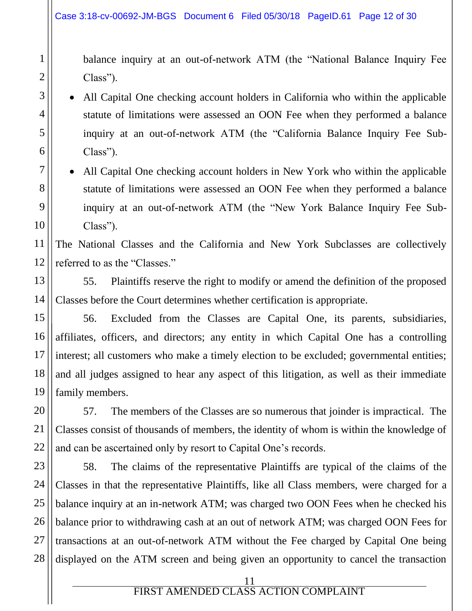balance inquiry at an out-of-network ATM (the "National Balance Inquiry Fee Class").

• All Capital One checking account holders in California who within the applicable statute of limitations were assessed an OON Fee when they performed a balance inquiry at an out-of-network ATM (the "California Balance Inquiry Fee Sub-Class").

 All Capital One checking account holders in New York who within the applicable statute of limitations were assessed an OON Fee when they performed a balance inquiry at an out-of-network ATM (the "New York Balance Inquiry Fee Sub-Class").

The National Classes and the California and New York Subclasses are collectively referred to as the "Classes."

55. Plaintiffs reserve the right to modify or amend the definition of the proposed Classes before the Court determines whether certification is appropriate.

56. Excluded from the Classes are Capital One, its parents, subsidiaries, affiliates, officers, and directors; any entity in which Capital One has a controlling interest; all customers who make a timely election to be excluded; governmental entities; and all judges assigned to hear any aspect of this litigation, as well as their immediate family members.

57. The members of the Classes are so numerous that joinder is impractical. The Classes consist of thousands of members, the identity of whom is within the knowledge of and can be ascertained only by resort to Capital One's records.

58. The claims of the representative Plaintiffs are typical of the claims of the Classes in that the representative Plaintiffs, like all Class members, were charged for a balance inquiry at an in-network ATM; was charged two OON Fees when he checked his balance prior to withdrawing cash at an out of network ATM; was charged OON Fees for transactions at an out-of-network ATM without the Fee charged by Capital One being displayed on the ATM screen and being given an opportunity to cancel the transaction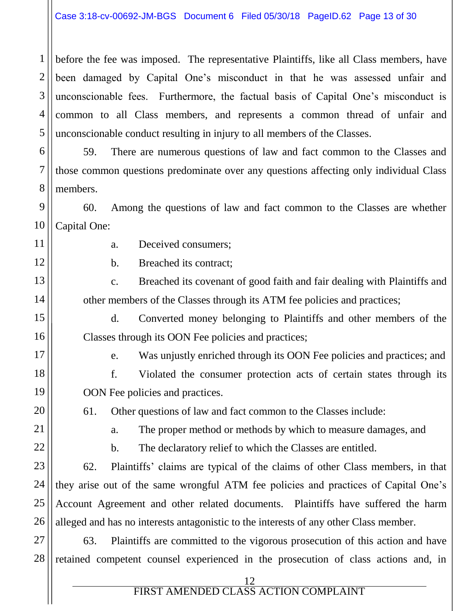1 2 3 4 5 before the fee was imposed. The representative Plaintiffs, like all Class members, have been damaged by Capital One's misconduct in that he was assessed unfair and unconscionable fees. Furthermore, the factual basis of Capital One's misconduct is common to all Class members, and represents a common thread of unfair and unconscionable conduct resulting in injury to all members of the Classes.

6 7 8 59. There are numerous questions of law and fact common to the Classes and those common questions predominate over any questions affecting only individual Class members.

9 10 60. Among the questions of law and fact common to the Classes are whether Capital One:

11 12

13

14

15

16

a. Deceived consumers;

b. Breached its contract;

c. Breached its covenant of good faith and fair dealing with Plaintiffs and other members of the Classes through its ATM fee policies and practices;

d. Converted money belonging to Plaintiffs and other members of the Classes through its OON Fee policies and practices;

17

18

19

20

e. Was unjustly enriched through its OON Fee policies and practices; and

f. Violated the consumer protection acts of certain states through its OON Fee policies and practices.

61. Other questions of law and fact common to the Classes include:

21

22

23

24

25

26

a. The proper method or methods by which to measure damages, and

b. The declaratory relief to which the Classes are entitled.

62. Plaintiffs' claims are typical of the claims of other Class members, in that they arise out of the same wrongful ATM fee policies and practices of Capital One's Account Agreement and other related documents. Plaintiffs have suffered the harm alleged and has no interests antagonistic to the interests of any other Class member.

27 28 63. Plaintiffs are committed to the vigorous prosecution of this action and have retained competent counsel experienced in the prosecution of class actions and, in

<u>12</u>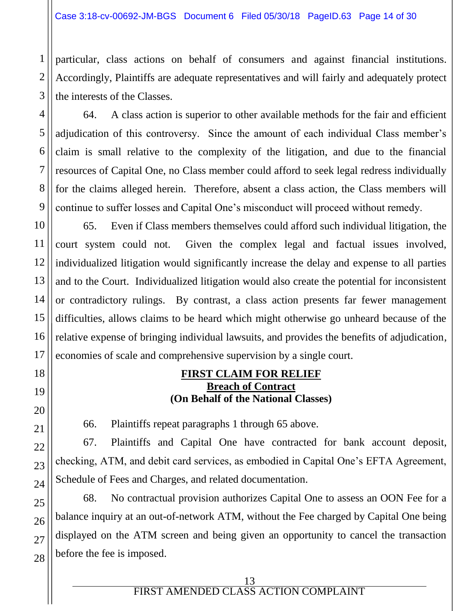particular, class actions on behalf of consumers and against financial institutions. Accordingly, Plaintiffs are adequate representatives and will fairly and adequately protect the interests of the Classes.

64. A class action is superior to other available methods for the fair and efficient adjudication of this controversy. Since the amount of each individual Class member's claim is small relative to the complexity of the litigation, and due to the financial resources of Capital One, no Class member could afford to seek legal redress individually for the claims alleged herein. Therefore, absent a class action, the Class members will continue to suffer losses and Capital One's misconduct will proceed without remedy.

65. Even if Class members themselves could afford such individual litigation, the court system could not. Given the complex legal and factual issues involved, individualized litigation would significantly increase the delay and expense to all parties and to the Court. Individualized litigation would also create the potential for inconsistent or contradictory rulings. By contrast, a class action presents far fewer management difficulties, allows claims to be heard which might otherwise go unheard because of the relative expense of bringing individual lawsuits, and provides the benefits of adjudication, economies of scale and comprehensive supervision by a single court.

#### **FIRST CLAIM FOR RELIEF Breach of Contract (On Behalf of the National Classes)**

66. Plaintiffs repeat paragraphs 1 through 65 above.

67. Plaintiffs and Capital One have contracted for bank account deposit, checking, ATM, and debit card services, as embodied in Capital One's EFTA Agreement, Schedule of Fees and Charges, and related documentation.

68. No contractual provision authorizes Capital One to assess an OON Fee for a balance inquiry at an out-of-network ATM, without the Fee charged by Capital One being displayed on the ATM screen and being given an opportunity to cancel the transaction before the fee is imposed.

1

2

3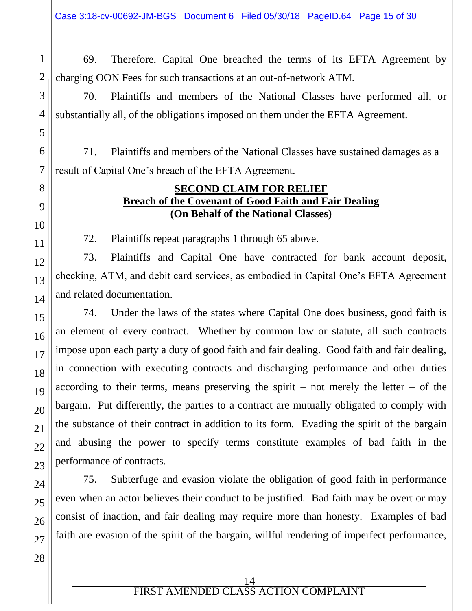Case 3:18-cv-00692-JM-BGS Document 6 Filed 05/30/18 PageID.64 Page 15 of 30

69. Therefore, Capital One breached the terms of its EFTA Agreement by charging OON Fees for such transactions at an out-of-network ATM.

70. Plaintiffs and members of the National Classes have performed all, or substantially all, of the obligations imposed on them under the EFTA Agreement.

71. Plaintiffs and members of the National Classes have sustained damages as a result of Capital One's breach of the EFTA Agreement.

#### **SECOND CLAIM FOR RELIEF Breach of the Covenant of Good Faith and Fair Dealing (On Behalf of the National Classes)**

72. Plaintiffs repeat paragraphs 1 through 65 above.

73. Plaintiffs and Capital One have contracted for bank account deposit, checking, ATM, and debit card services, as embodied in Capital One's EFTA Agreement and related documentation.

74. Under the laws of the states where Capital One does business, good faith is an element of every contract. Whether by common law or statute, all such contracts impose upon each party a duty of good faith and fair dealing. Good faith and fair dealing, in connection with executing contracts and discharging performance and other duties according to their terms, means preserving the spirit – not merely the letter – of the bargain. Put differently, the parties to a contract are mutually obligated to comply with the substance of their contract in addition to its form. Evading the spirit of the bargain and abusing the power to specify terms constitute examples of bad faith in the performance of contracts.

75. Subterfuge and evasion violate the obligation of good faith in performance even when an actor believes their conduct to be justified. Bad faith may be overt or may consist of inaction, and fair dealing may require more than honesty. Examples of bad faith are evasion of the spirit of the bargain, willful rendering of imperfect performance,

1

2

3

4

14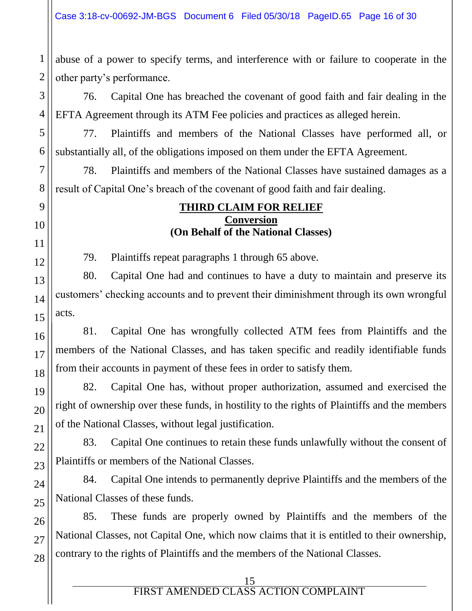abuse of a power to specify terms, and interference with or failure to cooperate in the other party's performance.

76. Capital One has breached the covenant of good faith and fair dealing in the EFTA Agreement through its ATM Fee policies and practices as alleged herein.

77. Plaintiffs and members of the National Classes have performed all, or substantially all, of the obligations imposed on them under the EFTA Agreement.

78. Plaintiffs and members of the National Classes have sustained damages as a result of Capital One's breach of the covenant of good faith and fair dealing.

#### **THIRD CLAIM FOR RELIEF Conversion (On Behalf of the National Classes)**

79. Plaintiffs repeat paragraphs 1 through 65 above.

80. Capital One had and continues to have a duty to maintain and preserve its customers' checking accounts and to prevent their diminishment through its own wrongful acts.

81. Capital One has wrongfully collected ATM fees from Plaintiffs and the members of the National Classes, and has taken specific and readily identifiable funds from their accounts in payment of these fees in order to satisfy them.

82. Capital One has, without proper authorization, assumed and exercised the right of ownership over these funds, in hostility to the rights of Plaintiffs and the members of the National Classes, without legal justification.

83. Capital One continues to retain these funds unlawfully without the consent of Plaintiffs or members of the National Classes.

84. Capital One intends to permanently deprive Plaintiffs and the members of the National Classes of these funds.

85. These funds are properly owned by Plaintiffs and the members of the National Classes, not Capital One, which now claims that it is entitled to their ownership, contrary to the rights of Plaintiffs and the members of the National Classes.

1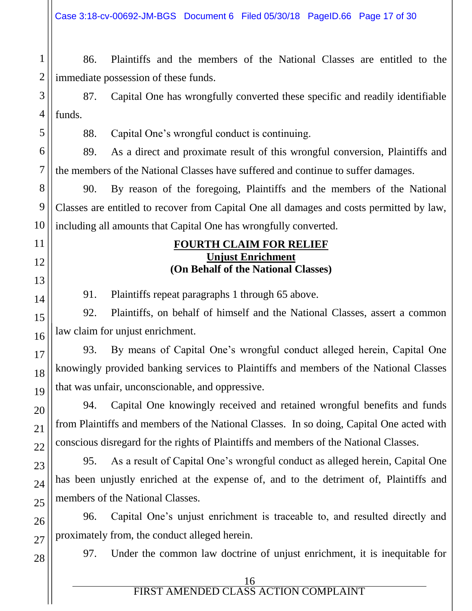Case 3:18-cv-00692-JM-BGS Document 6 Filed 05/30/18 PageID.66 Page 17 of 30

1 86. Plaintiffs and the members of the National Classes are entitled to the immediate possession of these funds.

87. Capital One has wrongfully converted these specific and readily identifiable funds.

88. Capital One's wrongful conduct is continuing.

89. As a direct and proximate result of this wrongful conversion, Plaintiffs and the members of the National Classes have suffered and continue to suffer damages.

90. By reason of the foregoing, Plaintiffs and the members of the National Classes are entitled to recover from Capital One all damages and costs permitted by law, including all amounts that Capital One has wrongfully converted.

#### **FOURTH CLAIM FOR RELIEF Unjust Enrichment (On Behalf of the National Classes)**

91. Plaintiffs repeat paragraphs 1 through 65 above.

92. Plaintiffs, on behalf of himself and the National Classes, assert a common law claim for unjust enrichment.

93. By means of Capital One's wrongful conduct alleged herein, Capital One knowingly provided banking services to Plaintiffs and members of the National Classes that was unfair, unconscionable, and oppressive.

94. Capital One knowingly received and retained wrongful benefits and funds from Plaintiffs and members of the National Classes. In so doing, Capital One acted with conscious disregard for the rights of Plaintiffs and members of the National Classes.

95. As a result of Capital One's wrongful conduct as alleged herein, Capital One has been unjustly enriched at the expense of, and to the detriment of, Plaintiffs and members of the National Classes.

96. Capital One's unjust enrichment is traceable to, and resulted directly and proximately from, the conduct alleged herein.

97. Under the common law doctrine of unjust enrichment, it is inequitable for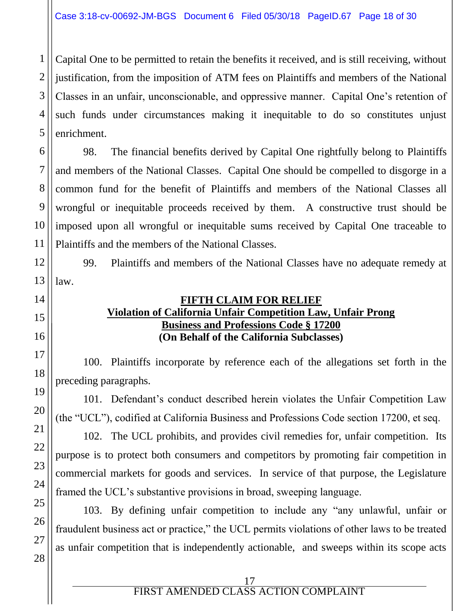Capital One to be permitted to retain the benefits it received, and is still receiving, without justification, from the imposition of ATM fees on Plaintiffs and members of the National Classes in an unfair, unconscionable, and oppressive manner. Capital One's retention of such funds under circumstances making it inequitable to do so constitutes unjust enrichment.

98. The financial benefits derived by Capital One rightfully belong to Plaintiffs and members of the National Classes. Capital One should be compelled to disgorge in a common fund for the benefit of Plaintiffs and members of the National Classes all wrongful or inequitable proceeds received by them. A constructive trust should be imposed upon all wrongful or inequitable sums received by Capital One traceable to Plaintiffs and the members of the National Classes.

99. Plaintiffs and members of the National Classes have no adequate remedy at law.

#### **FIFTH CLAIM FOR RELIEF Violation of California Unfair Competition Law, Unfair Prong Business and Professions Code § 17200 (On Behalf of the California Subclasses)**

100. Plaintiffs incorporate by reference each of the allegations set forth in the preceding paragraphs.

101. Defendant's conduct described herein violates the Unfair Competition Law (the "UCL"), codified at California Business and Professions Code section 17200, et seq.

102. The UCL prohibits, and provides civil remedies for, unfair competition. Its purpose is to protect both consumers and competitors by promoting fair competition in commercial markets for goods and services. In service of that purpose, the Legislature framed the UCL's substantive provisions in broad, sweeping language.

103. By defining unfair competition to include any "any unlawful, unfair or fraudulent business act or practice," the UCL permits violations of other laws to be treated as unfair competition that is independently actionable, and sweeps within its scope acts

1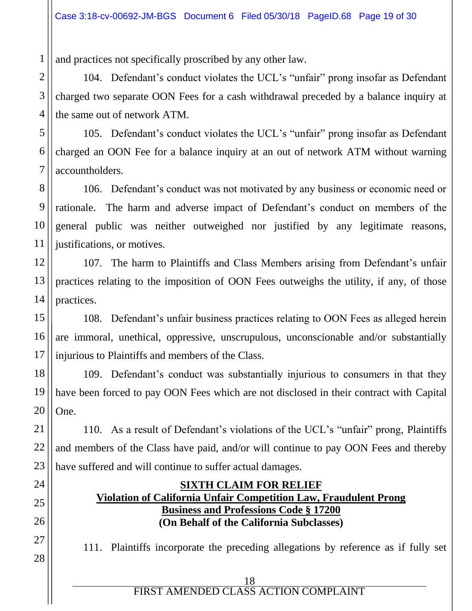and practices not specifically proscribed by any other law.

104. Defendant's conduct violates the UCL's "unfair" prong insofar as Defendant charged two separate OON Fees for a cash withdrawal preceded by a balance inquiry at the same out of network ATM.

105. Defendant's conduct violates the UCL's "unfair" prong insofar as Defendant charged an OON Fee for a balance inquiry at an out of network ATM without warning accountholders.

106. Defendant's conduct was not motivated by any business or economic need or rationale. The harm and adverse impact of Defendant's conduct on members of the general public was neither outweighed nor justified by any legitimate reasons, justifications, or motives.

107. The harm to Plaintiffs and Class Members arising from Defendant's unfair practices relating to the imposition of OON Fees outweighs the utility, if any, of those practices.

108. Defendant's unfair business practices relating to OON Fees as alleged herein are immoral, unethical, oppressive, unscrupulous, unconscionable and/or substantially injurious to Plaintiffs and members of the Class.

109. Defendant's conduct was substantially injurious to consumers in that they have been forced to pay OON Fees which are not disclosed in their contract with Capital One.

110. As a result of Defendant's violations of the UCL's "unfair" prong, Plaintiffs and members of the Class have paid, and/or will continue to pay OON Fees and thereby have suffered and will continue to suffer actual damages.

#### **SIXTH CLAIM FOR RELIEF Violation of California Unfair Competition Law, Fraudulent Prong Business and Professions Code § 17200 (On Behalf of the California Subclasses)**

111. Plaintiffs incorporate the preceding allegations by reference as if fully set

| FIRST AMENDED CLASS ACTION COMPLAINT |  |
|--------------------------------------|--|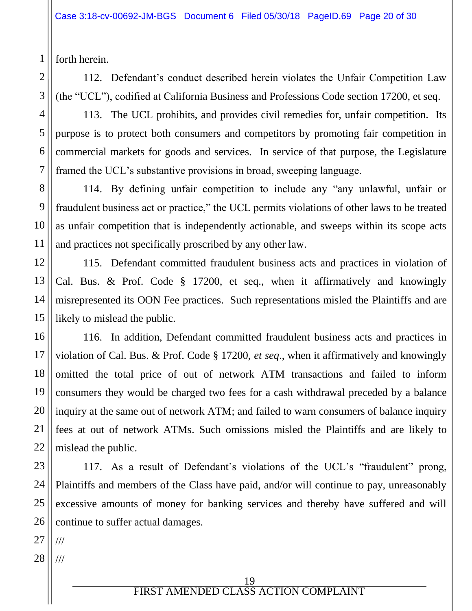forth herein.

1

2

3

4

5

6

7

8

9

10

11

12

13

14

15

16

17

18

19

20

21

22

25

26

112. Defendant's conduct described herein violates the Unfair Competition Law (the "UCL"), codified at California Business and Professions Code section 17200, et seq.

113. The UCL prohibits, and provides civil remedies for, unfair competition. Its purpose is to protect both consumers and competitors by promoting fair competition in commercial markets for goods and services. In service of that purpose, the Legislature framed the UCL's substantive provisions in broad, sweeping language.

114. By defining unfair competition to include any "any unlawful, unfair or fraudulent business act or practice," the UCL permits violations of other laws to be treated as unfair competition that is independently actionable, and sweeps within its scope acts and practices not specifically proscribed by any other law.

115. Defendant committed fraudulent business acts and practices in violation of Cal. Bus. & Prof. Code § 17200, et seq., when it affirmatively and knowingly misrepresented its OON Fee practices. Such representations misled the Plaintiffs and are likely to mislead the public.

116. In addition, Defendant committed fraudulent business acts and practices in violation of Cal. Bus. & Prof. Code § 17200, *et seq*., when it affirmatively and knowingly omitted the total price of out of network ATM transactions and failed to inform consumers they would be charged two fees for a cash withdrawal preceded by a balance inquiry at the same out of network ATM; and failed to warn consumers of balance inquiry fees at out of network ATMs. Such omissions misled the Plaintiffs and are likely to mislead the public.

23 24 117. As a result of Defendant's violations of the UCL's "fraudulent" prong, Plaintiffs and members of the Class have paid, and/or will continue to pay, unreasonably excessive amounts of money for banking services and thereby have suffered and will continue to suffer actual damages.

27 ///

28 ///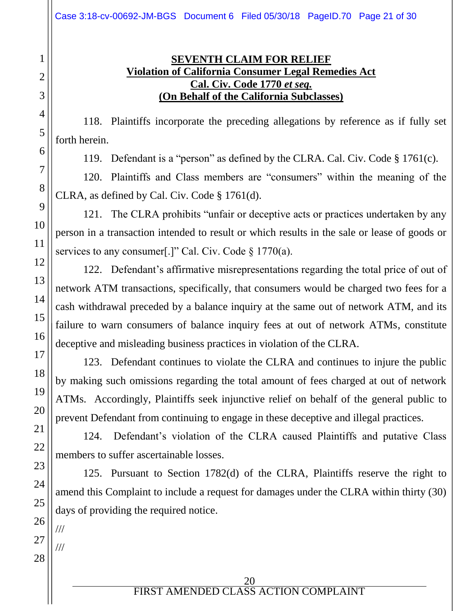### **SEVENTH CLAIM FOR RELIEF Violation of California Consumer Legal Remedies Act Cal. Civ. Code 1770** *et seq.* **(On Behalf of the California Subclasses)**

118. Plaintiffs incorporate the preceding allegations by reference as if fully set forth herein.

119. Defendant is a "person" as defined by the CLRA. Cal. Civ. Code § 1761(c).

120. Plaintiffs and Class members are "consumers" within the meaning of the CLRA, as defined by Cal. Civ. Code § 1761(d).

121. The CLRA prohibits "unfair or deceptive acts or practices undertaken by any person in a transaction intended to result or which results in the sale or lease of goods or services to any consumer[.]" Cal. Civ. Code § 1770(a).

122. Defendant's affirmative misrepresentations regarding the total price of out of network ATM transactions, specifically, that consumers would be charged two fees for a cash withdrawal preceded by a balance inquiry at the same out of network ATM, and its failure to warn consumers of balance inquiry fees at out of network ATMs, constitute deceptive and misleading business practices in violation of the CLRA.

123. Defendant continues to violate the CLRA and continues to injure the public by making such omissions regarding the total amount of fees charged at out of network ATMs. Accordingly, Plaintiffs seek injunctive relief on behalf of the general public to prevent Defendant from continuing to engage in these deceptive and illegal practices.

124. Defendant's violation of the CLRA caused Plaintiffs and putative Class members to suffer ascertainable losses.

125. Pursuant to Section 1782(d) of the CLRA, Plaintiffs reserve the right to amend this Complaint to include a request for damages under the CLRA within thirty (30) days of providing the required notice.

///

///

1

2

3

4

5

6

7

8

9

10

11

12

13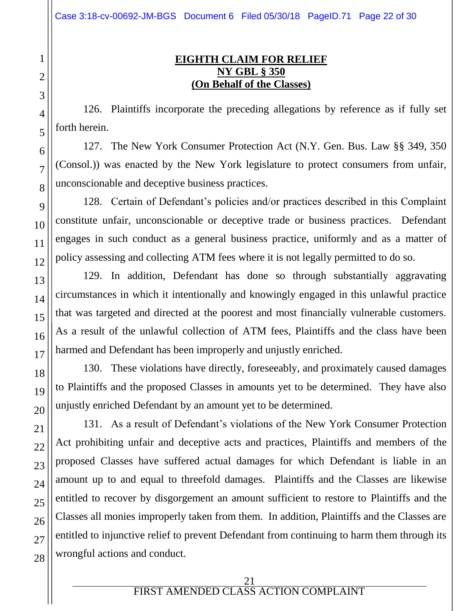### **EIGHTH CLAIM FOR RELIEF NY GBL § 350 (On Behalf of the Classes)**

126. Plaintiffs incorporate the preceding allegations by reference as if fully set forth herein.

127. The New York Consumer Protection Act (N.Y. Gen. Bus. Law §§ 349, 350 (Consol.)) was enacted by the New York legislature to protect consumers from unfair, unconscionable and deceptive business practices.

128. Certain of Defendant's policies and/or practices described in this Complaint constitute unfair, unconscionable or deceptive trade or business practices. Defendant engages in such conduct as a general business practice, uniformly and as a matter of policy assessing and collecting ATM fees where it is not legally permitted to do so.

129. In addition, Defendant has done so through substantially aggravating circumstances in which it intentionally and knowingly engaged in this unlawful practice that was targeted and directed at the poorest and most financially vulnerable customers. As a result of the unlawful collection of ATM fees, Plaintiffs and the class have been harmed and Defendant has been improperly and unjustly enriched.

130. These violations have directly, foreseeably, and proximately caused damages to Plaintiffs and the proposed Classes in amounts yet to be determined. They have also unjustly enriched Defendant by an amount yet to be determined.

131. As a result of Defendant's violations of the New York Consumer Protection Act prohibiting unfair and deceptive acts and practices, Plaintiffs and members of the proposed Classes have suffered actual damages for which Defendant is liable in an amount up to and equal to threefold damages. Plaintiffs and the Classes are likewise entitled to recover by disgorgement an amount sufficient to restore to Plaintiffs and the Classes all monies improperly taken from them. In addition, Plaintiffs and the Classes are entitled to injunctive relief to prevent Defendant from continuing to harm them through its wrongful actions and conduct.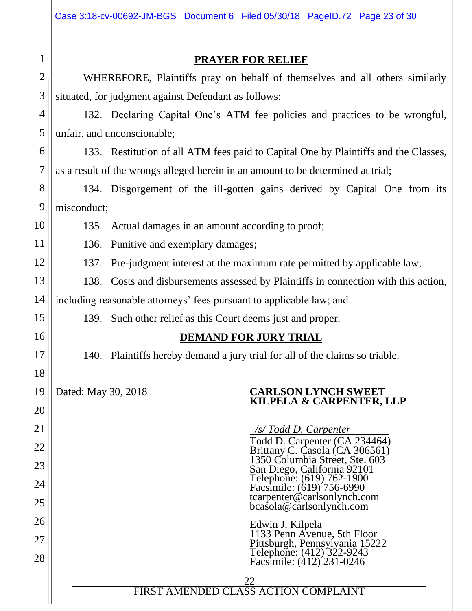|                | Case 3:18-cv-00692-JM-BGS Document 6 Filed 05/30/18 PageID.72 Page 23 of 30              |  |  |  |
|----------------|------------------------------------------------------------------------------------------|--|--|--|
| $\mathbf 1$    | <b>PRAYER FOR RELIEF</b>                                                                 |  |  |  |
| $\overline{2}$ | WHEREFORE, Plaintiffs pray on behalf of themselves and all others similarly              |  |  |  |
| 3              | situated, for judgment against Defendant as follows:                                     |  |  |  |
| $\overline{4}$ | 132. Declaring Capital One's ATM fee policies and practices to be wrongful,              |  |  |  |
| 5              | unfair, and unconscionable;                                                              |  |  |  |
| 6              | 133. Restitution of all ATM fees paid to Capital One by Plaintiffs and the Classes,      |  |  |  |
| $\overline{7}$ | as a result of the wrongs alleged herein in an amount to be determined at trial;         |  |  |  |
| 8              | 134. Disgorgement of the ill-gotten gains derived by Capital One from its                |  |  |  |
| 9              | misconduct;                                                                              |  |  |  |
| 10             | 135. Actual damages in an amount according to proof;                                     |  |  |  |
| 11             | Punitive and exemplary damages;<br>136.                                                  |  |  |  |
| 12             | Pre-judgment interest at the maximum rate permitted by applicable law;<br>137.           |  |  |  |
| 13             | Costs and disbursements assessed by Plaintiffs in connection with this action,<br>138.   |  |  |  |
| 14             | including reasonable attorneys' fees pursuant to applicable law; and                     |  |  |  |
| 15             | 139. Such other relief as this Court deems just and proper.                              |  |  |  |
| 16             | <b>DEMAND FOR JURY TRIAL</b>                                                             |  |  |  |
| 17             | 140. Plaintiffs hereby demand a jury trial for all of the claims so triable.             |  |  |  |
| 18             |                                                                                          |  |  |  |
| 19             | Dated: May 30, 2018<br><b>CARLSON LYNCH SWEET</b><br>KILPELA & CARPENTER, LLP            |  |  |  |
| 20             |                                                                                          |  |  |  |
| 21             | /s/ Todd D. Carpenter<br>Todd D. Carpenter (CA 234464)                                   |  |  |  |
| 22             | Brittany C. Casola (CA 306561)<br>1350 Columbia Street, Ste. 603                         |  |  |  |
| 23             | San Diego, California 92101<br>Telephone: (619) 762-1900<br>Facsimile: (619) 756-6990    |  |  |  |
| 24<br>25       | tcarpenter@carlsonlynch.com                                                              |  |  |  |
| 26             | bcasola@carlsonlynch.com                                                                 |  |  |  |
| 27             | Edwin J. Kilpela<br>1133 Penn Avenue, 5th Floor                                          |  |  |  |
| 28             | Pittsburgh, Pennsylvania 15222<br>Telephone: (412) 322-9243<br>Facsimile: (412) 231-0246 |  |  |  |
|                | <b>PIRST AMENDED CLASS ACTION COMPLAINT</b>                                              |  |  |  |
|                |                                                                                          |  |  |  |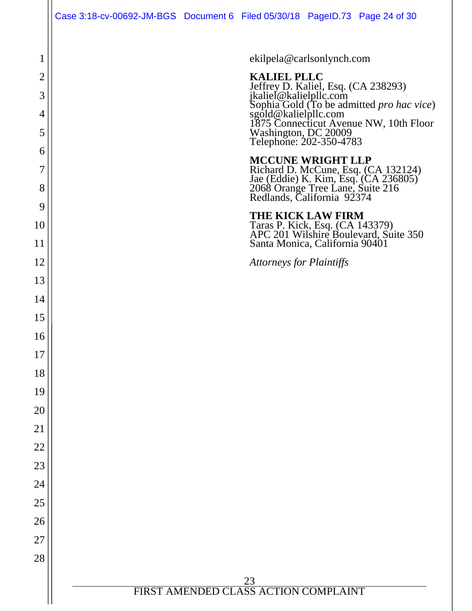|                | Case 3:18-cv-00692-JM-BGS Document 6 Filed 05/30/18 PageID.73 Page 24 of 30 |                                                         |                                                                                                                                                                                                                                                               |
|----------------|-----------------------------------------------------------------------------|---------------------------------------------------------|---------------------------------------------------------------------------------------------------------------------------------------------------------------------------------------------------------------------------------------------------------------|
| $\mathbf 1$    |                                                                             | ekilpela@carlsonlynch.com                               |                                                                                                                                                                                                                                                               |
| $\overline{2}$ |                                                                             | <b>KALIEL PLLC</b>                                      |                                                                                                                                                                                                                                                               |
| 3              |                                                                             |                                                         |                                                                                                                                                                                                                                                               |
| $\overline{4}$ |                                                                             |                                                         |                                                                                                                                                                                                                                                               |
| 5              |                                                                             |                                                         | <b>RALIEL FLIC</b><br>Jeffrey D. Kaliel, Esq. (CA 238293)<br>jkaliel@kalielpllc.com<br>Sophia Gold (To be admitted <i>pro hac vice</i> )<br>sgold@kalielpllc.com<br>1875 Connecticut Avenue NW, 10th Floor<br>Washington, DC 20009<br>Telephone: 202-350-4783 |
| 6              |                                                                             |                                                         |                                                                                                                                                                                                                                                               |
| 7              |                                                                             | <b>MCCUNE WRIGHT LLP</b>                                |                                                                                                                                                                                                                                                               |
| 8              |                                                                             |                                                         | Richard D. McCune, Esq. (CA 132124)<br>Jae (Eddie) K. Kim, Esq. (CA 236805)<br>2068 Orange Tree Lane, Suite 216<br>Redlands, California 92374                                                                                                                 |
| 9              |                                                                             | <b>THE KICK LAW FIRM</b>                                |                                                                                                                                                                                                                                                               |
| 10             |                                                                             |                                                         | Taras P. Kick, Esq. (CA 143379)<br>APC 201 Wilshire Boulevard, Suite 350                                                                                                                                                                                      |
| 11             |                                                                             | Santa Monica, California 90401                          |                                                                                                                                                                                                                                                               |
| 12             |                                                                             | <b>Attorneys for Plaintiffs</b>                         |                                                                                                                                                                                                                                                               |
| 13             |                                                                             |                                                         |                                                                                                                                                                                                                                                               |
| 14             |                                                                             |                                                         |                                                                                                                                                                                                                                                               |
| 15             |                                                                             |                                                         |                                                                                                                                                                                                                                                               |
| 16             |                                                                             |                                                         |                                                                                                                                                                                                                                                               |
| 17             |                                                                             |                                                         |                                                                                                                                                                                                                                                               |
| 18             |                                                                             |                                                         |                                                                                                                                                                                                                                                               |
| 19             |                                                                             |                                                         |                                                                                                                                                                                                                                                               |
| 20             |                                                                             |                                                         |                                                                                                                                                                                                                                                               |
| 21             |                                                                             |                                                         |                                                                                                                                                                                                                                                               |
| 22             |                                                                             |                                                         |                                                                                                                                                                                                                                                               |
| 23             |                                                                             |                                                         |                                                                                                                                                                                                                                                               |
| 24             |                                                                             |                                                         |                                                                                                                                                                                                                                                               |
| 25             |                                                                             |                                                         |                                                                                                                                                                                                                                                               |
| 26             |                                                                             |                                                         |                                                                                                                                                                                                                                                               |
| 27             |                                                                             |                                                         |                                                                                                                                                                                                                                                               |
| 28             |                                                                             |                                                         |                                                                                                                                                                                                                                                               |
|                |                                                                             | $\frac{23}{\text{FIRST AMENDED CLASS ACTION COMPLANT}}$ |                                                                                                                                                                                                                                                               |
|                |                                                                             |                                                         |                                                                                                                                                                                                                                                               |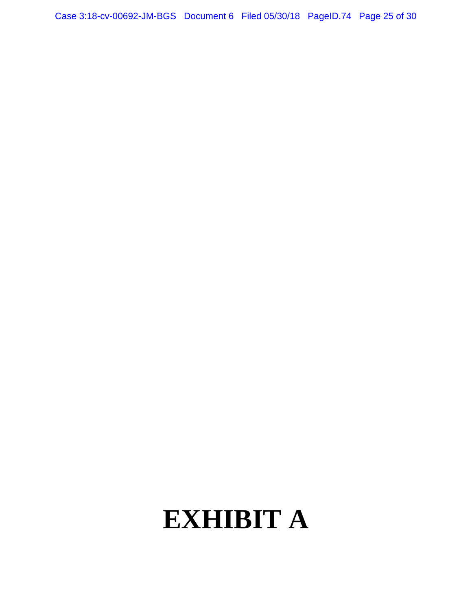Case 3:18-cv-00692-JM-BGS Document 6 Filed 05/30/18 PageID.74 Page 25 of 30

# **EXHIBIT A**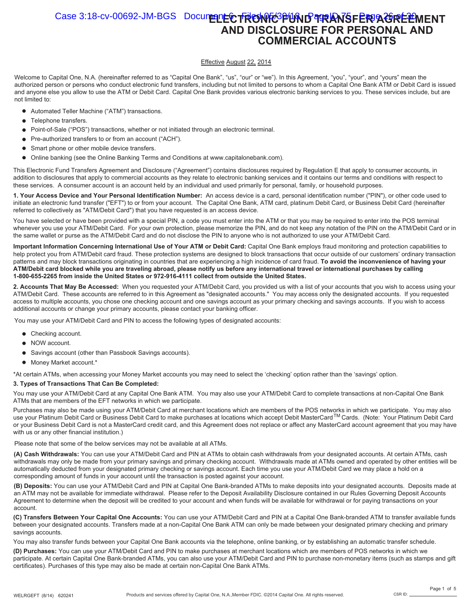#### Case 3:18-cv-00692-JM-BGS Document **ECTRONIC PUND TRANSFER AGREEMENT AND DISCLOSURE FOR PERSONAL AND COMMERCIAL ACCOUNTS**

#### Effective August 22, 2014

Welcome to Capital One, N.A. (hereinafter referred to as "Capital One Bank", "us", "our" or "we"). In this Agreement, "you", "your", and "yours" mean the authorized person or persons who conduct electronic fund transfers, including but not limited to persons to whom a Capital One Bank ATM or Debit Card is issued and anyone else you allow to use the ATM or Debit Card. Capital One Bank provides various electronic banking services to you. These services include, but are not limited to:

- Automated Teller Machine ("ATM") transactions.
- Telephone transfers.
- $\bullet$ Point-of-Sale ("POS") transactions, whether or not initiated through an electronic terminal.
- Pre-authorized transfers to or from an account ("ACH").  $\bullet$
- Smart phone or other mobile device transfers.  $\bullet$
- $\bullet$ Online banking (see the Online Banking Terms and Conditions at www.capitalonebank.com).

This Electronic Fund Transfers Agreement and Disclosure ("Agreement") contains disclosures required by Regulation E that apply to consumer accounts, in addition to disclosures that apply to commercial accounts as they relate to electronic banking services and it contains our terms and conditions with respect to these services. A consumer account is an account held by an individual and used primarily for personal, family, or household purposes.

**1. Your Access Device and Your Personal Identification Number:** An access device is a card, personal identification number ("PIN"), or other code used to initiate an electronic fund transfer ("EFT") to or from your account. The Capital One Bank, ATM card, platinum Debit Card, or Business Debit Card (hereinafter referred to collectively as "ATM/Debit Card") that you have requested is an access device.

You have selected or have been provided with a special PIN, a code you must enter into the ATM or that you may be required to enter into the POS terminal whenever you use your ATM/Debit Card. For your own protection, please memorize the PIN, and do not keep any notation of the PIN on the ATM/Debit Card or in the same wallet or purse as the ATM/Debit Card and do not disclose the PIN to anyone who is not authorized to use your ATM/Debit Card.

**Important Information Concerning International Use of Your ATM or Debit Card:** Capital One Bank employs fraud monitoring and protection capabilities to help protect you from ATM/Debit card fraud. These protection systems are designed to block transactions that occur outside of our customers' ordinary transaction patterns and may block transactions originating in countries that are experiencing a high incidence of card fraud. **To avoid the inconvenience of having your ATM/Debit card blocked while you are traveling abroad, please notify us before any international travel or international purchases by calling 1-800-655-2265 from inside the United States or 972-916-4111 collect from outside the United States.**

**2. Accounts That May Be Accessed:** When you requested your ATM/Debit Card, you provided us with a list of your accounts that you wish to access using your ATM/Debit Card. These accounts are referred to in this Agreement as "designated accounts." You may access only the designated accounts. If you requested access to multiple accounts, you chose one checking account and one savings account as your primary checking and savings accounts. If you wish to access additional accounts or change your primary accounts, please contact your banking officer.

You may use your ATM/Debit Card and PIN to access the following types of designated accounts:

- Checking account.
- NOW account.
- Savings account (other than Passbook Savings accounts).
- $\bullet$  Money Market account.\*

\*At certain ATMs, when accessing your Money Market accounts you may need to select the 'checking' option rather than the 'savings' option.

#### **3. Types of Transactions That Can Be Completed:**

You may use your ATM/Debit Card at any Capital One Bank ATM. You may also use your ATM/Debit Card to complete transactions at non-Capital One Bank ATMs that are members of the EFT networks in which we participate.

Purchases may also be made using your ATM/Debit Card at merchant locations which are members of the POS networks in which we participate. You may also use your Platinum Debit Card or Business Debit Card to make purchases at locations which accept Debit MasterCard™Cards. (Note: Your Platinum Debit Card or your Business Debit Card is not a MasterCard credit card, and this Agreement does not replace or affect any MasterCard account agreement that you may have with us or any other financial institution.)

Please note that some of the below services may not be available at all ATMs.

**(A) Cash Withdrawals:** You can use your ATM/Debit Card and PIN at ATMs to obtain cash withdrawals from your designated accounts. At certain ATMs, cash withdrawals may only be made from your primary savings and primary checking account. Withdrawals made at ATMs owned and operated by other entities will be automatically deducted from your designated primary checking or savings account. Each time you use your ATM/Debit Card we may place a hold on a corresponding amount of funds in your account until the transaction is posted against your account.

**(B) Deposits:** You can use your ATM/Debit Card and PIN at Capital One Bank-branded ATMs to make deposits into your designated accounts. Deposits made at an ATM may not be available for immediate withdrawal. Please refer to the Deposit Availability Disclosure contained in our Rules Governing Deposit Accounts Agreement to determine when the deposit will be credited to your account and when funds will be available for withdrawal or for paying transactions on your account.

**(C) Transfers Between Your Capital One Accounts:** You can use your ATM/Debit Card and PIN at a Capital One Bank-branded ATM to transfer available funds between your designated accounts. Transfers made at a non-Capital One Bank ATM can only be made between your designated primary checking and primary savings accounts.

You may also transfer funds between your Capital One Bank accounts via the telephone, online banking, or by establishing an automatic transfer schedule.

**(D) Purchases:** You can use your ATM/Debit Card and PIN to make purchases at merchant locations which are members of POS networks in which we participate. At certain Capital One Bank-branded ATMs, you can also use your ATM/Debit Card and PIN to purchase non-monetary items (such as stamps and gift certificates). Purchases of this type may also be made at certain non-Capital One Bank ATMs.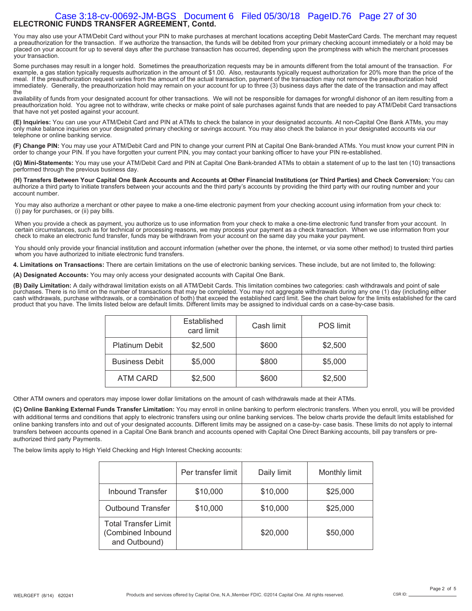#### **ELECTRONIC FUNDS TRANSFER AGREEMENT, Contd.**  Case 3:18-cv-00692-JM-BGS Document 6 Filed 05/30/18 PageID.76 Page 27 of 30

You may also use your ATM/Debit Card without your PIN to make purchases at merchant locations accepting Debit MasterCard Cards. The merchant may request a preauthorization for the transaction. If we authorize the transaction, the funds will be debited from your primary checking account immediately or a hold may be placed on your account for up to several days after the purchase transaction has occurred, depending upon the promptness with which the merchant processes your transaction.

Some purchases may result in a longer hold. Sometimes the preauthorization requests may be in amounts different from the total amount of the transaction. For example, a gas station typically requests authorization in the amount of \$1.00. Also, restaurants typically request authorization for 20% more than the price of the meal. If the preauthorization request varies from the amount of the actual transaction, payment of the transaction may not remove the preauthorization hold immediately. Generally, the preauthorization hold may remain on your account for up to three (3) business days after the date of the transaction and may affect the

availability of funds from your designated account for other transactions. We will not be responsible for damages for wrongful dishonor of an item resulting from a preauthorization hold. You agree not to withdraw, write checks or make point of sale purchases against funds that are needed to pay ATM/Debit Card transactions that have not yet posted against your account.

**(E) Inquiries:** You can use your ATM/Debit Card and PIN at ATMs to check the balance in your designated accounts. At non-Capital One Bank ATMs, you may only make balance inquiries on your designated primary checking or savings account. You may also check the balance in your designated accounts via our telephone or online banking service.

**(F) Change PIN:** You may use your ATM/Debit Card and PIN to change your current PIN at Capital One Bank-branded ATMs. You must know your current PIN in order to change your PIN. If you have forgotten your current PIN, you may contact your banking officer to have your PIN re-established.

**(G) Mini-Statements:** You may use your ATM/Debit Card and PIN at Capital One Bank-branded ATMs to obtain a statement of up to the last ten (10) transactions performed through the previous business day.

**(H) Transfers Between Your Capital One Bank Accounts and Accounts at Other Financial Institutions (or Third Parties) and Check Conversion:** You can authorize a third party to initiate transfers between your accounts and the third party's accounts by providing the third party with our routing number and your account number.

You may also authorize a merchant or other payee to make a one-time electronic payment from your checking account using information from your check to: (i) pay for purchases, or (ii) pay bills.

When you provide a check as payment, you authorize us to use information from your check to make a one-time electronic fund transfer from your account. In certain circumstances, such as for technical or processing reasons, we may process your payment as a check transaction. When we use information from your check to make an electronic fund transfer, funds may be withdrawn from your account on the same day you make your payment.

You should only provide your financial institution and account information (whether over the phone, the internet, or via some other method) to trusted third parties whom you have authorized to initiate electronic fund transfers.

**4. Limitations on Transactions:** There are certain limitations on the use of electronic banking services. These include, but are not limited to, the following:

**(A) Designated Accounts:** You may only access your designated accounts with Capital One Bank.

**(B) Daily Limitation:** A daily withdrawal limitation exists on all ATM/Debit Cards. This limitation combines two categories: cash withdrawals and point of sale<br>purchases. There is no limit on the number of transactions th cash withdrawals, purchase withdrawals, or a combination of both) that exceed the established card limit. See the chart below for the limits established for the card product that you have. The limits listed below are default limits. Different limits may be assigned to individual cards on a case-by-case basis.

|                       | Established<br>card limit | Cash limit | <b>POS</b> limit |
|-----------------------|---------------------------|------------|------------------|
| <b>Platinum Debit</b> | \$2,500                   | \$600      | \$2,500          |
| <b>Business Debit</b> | \$5,000                   | \$800      | \$5,000          |
| ATM CARD              | \$2,500                   | \$600      | \$2,500          |

Other ATM owners and operators may impose lower dollar limitations on the amount of cash withdrawals made at their ATMs.

**(C) Online Banking External Funds Transfer Limitation:** You may enroll in online banking to perform electronic transfers. When you enroll, you will be provided with additional terms and conditions that apply to electronic transfers using our online banking services. The below charts provide the default limits established for online banking transfers into and out of your designated accounts. Different limits may be assigned on a case-by- case basis. These limits do not apply to internal transfers between accounts opened in a Capital One Bank branch and accounts opened with Capital One Direct Banking accounts, bill pay transfers or preauthorized third party Payments.

The below limits apply to High Yield Checking and High Interest Checking accounts:

|                                                                   | Per transfer limit | Daily limit | Monthly limit |
|-------------------------------------------------------------------|--------------------|-------------|---------------|
| <b>Inbound Transfer</b>                                           | \$10,000           | \$10,000    | \$25,000      |
| <b>Outbound Transfer</b>                                          | \$10,000           | \$10,000    | \$25,000      |
| <b>Total Transfer Limit</b><br>(Combined Inbound<br>and Outbound) |                    | \$20,000    | \$50,000      |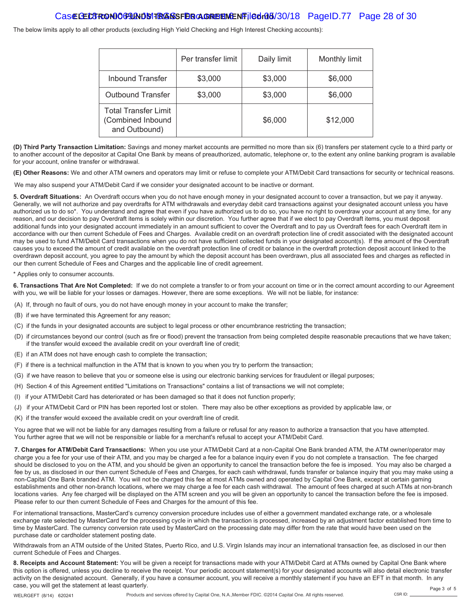#### Case CEC3 RONIO GALIAND SITER **AGREEMENT Contained Filed 05/30/18** PageID.77 Page 28 of 30

The below limits apply to all other products (excluding High Yield Checking and High Interest Checking accounts):

|                                                                   | Per transfer limit | Daily limit | Monthly limit |
|-------------------------------------------------------------------|--------------------|-------------|---------------|
| <b>Inbound Transfer</b>                                           | \$3,000            | \$3,000     | \$6,000       |
| <b>Outbound Transfer</b>                                          | \$3,000            | \$3,000     | \$6,000       |
| <b>Total Transfer Limit</b><br>(Combined Inbound<br>and Outbound) |                    | \$6,000     | \$12,000      |

**(D) Third Party Transaction Limitation:** Savings and money market accounts are permitted no more than six (6) transfers per statement cycle to a third party or to another account of the depositor at Capital One Bank by means of preauthorized, automatic, telephone or, to the extent any online banking program is available for your account, online transfer or withdrawal.

**(E) Other Reasons:** We and other ATM owners and operators may limit or refuse to complete your ATM/Debit Card transactions for security or technical reasons.

We may also suspend your ATM/Debit Card if we consider your designated account to be inactive or dormant.

**5. Overdraft Situations:** An Overdraft occurs when you do not have enough money in your designated account to cover a transaction, but we pay it anyway. Generally, we will not authorize and pay overdrafts for ATM withdrawals and everyday debit card transactions against your designated account unless you have authorized us to do so\*. You understand and agree that even if you have authorized us to do so, you have no right to overdraw your account at any time, for any reason, and our decision to pay Overdraft items is solely within our discretion. You further agree that if we elect to pay Overdraft items, you must deposit additional funds into your designated account immediately in an amount sufficient to cover the Overdraft and to pay us Overdraft fees for each Overdraft item in accordance with our then current Schedule of Fees and Charges. Available credit on an overdraft protection line of credit associated with the designated account may be used to fund ATM/Debit Card transactions when you do not have sufficient collected funds in your designated account(s). If the amount of the Overdraft causes you to exceed the amount of credit available on the overdraft protection line of credit or balance in the overdraft protection deposit account linked to the overdrawn deposit account, you agree to pay the amount by which the deposit account has been overdrawn, plus all associated fees and charges as reflected in our then current Schedule of Fees and Charges and the applicable line of credit agreement.

\* Applies only to consumer accounts.

**6. Transactions That Are Not Completed:** If we do not complete a transfer to or from your account on time or in the correct amount according to our Agreement with you, we will be liable for your losses or damages. However, there are some exceptions. We will not be liable, for instance:

- (A) If, through no fault of ours, you do not have enough money in your account to make the transfer;
- (B) if we have terminated this Agreement for any reason;
- (C) if the funds in your designated accounts are subject to legal process or other encumbrance restricting the transaction;
- (D) if circumstances beyond our control (such as fire or flood) prevent the transaction from being completed despite reasonable precautions that we have taken; if the transfer would exceed the available credit on your overdraft line of credit;
- (E) if an ATM does not have enough cash to complete the transaction;
- (F) if there is a technical malfunction in the ATM that is known to you when you try to perform the transaction;
- (G) if we have reason to believe that you or someone else is using our electronic banking services for fraudulent or illegal purposes;
- (H) Section 4 of this Agreement entitled "Limitations on Transactions" contains a list of transactions we will not complete;
- (I) if your ATM/Debit Card has deteriorated or has been damaged so that it does not function properly;
- (J) if your ATM/Debit Card or PIN has been reported lost or stolen. There may also be other exceptions as provided by applicable law, or
- (K) if the transfer would exceed the available credit on your overdraft line of credit.

You agree that we will not be liable for any damages resulting from a failure or refusal for any reason to authorize a transaction that you have attempted. You further agree that we will not be responsible or liable for a merchant's refusal to accept your ATM/Debit Card.

**7. Charges for ATM/Debit Card Transactions:** When you use your ATM/Debit Card at a non-Capital One Bank branded ATM, the ATM owner/operator may charge you a fee for your use of their ATM, and you may be charged a fee for a balance inquiry even if you do not complete a transaction. The fee charged should be disclosed to you on the ATM, and you should be given an opportunity to cancel the transaction before the fee is imposed. You may also be charged a fee by us, as disclosed in our then current Schedule of Fees and Charges, for each cash withdrawal, funds transfer or balance inquiry that you may make using a non-Capital One Bank branded ATM. You will not be charged this fee at most ATMs owned and operated by Capital One Bank, except at certain gaming establishments and other non-branch locations, where we may charge a fee for each cash withdrawal. The amount of fees charged at such ATMs at non-branch locations varies. Any fee charged will be displayed on the ATM screen and you will be given an opportunity to cancel the transaction before the fee is imposed. Please refer to our then current Schedule of Fees and Charges for the amount of this fee.

For international transactions, MasterCard's currency conversion procedure includes use of either a government mandated exchange rate, or a wholesale exchange rate selected by MasterCard for the processing cycle in which the transaction is processed, increased by an adjustment factor established from time to time by MasterCard. The currency conversion rate used by MasterCard on the processing date may differ from the rate that would have been used on the purchase date or cardholder statement posting date.

Withdrawals from an ATM outside of the United States, Puerto Rico, and U.S. Virgin Islands may incur an international transaction fee, as disclosed in our then current Schedule of Fees and Charges.

**8. Receipts and Account Statement:** You will be given a receipt for transactions made with your ATM/Debit Card at ATMs owned by Capital One Bank where this option is offered, unless you decline to receive the receipt. Your periodic account statement(s) for your designated accounts will also detail electronic transfer activity on the designated account. Generally, if you have a consumer account, you will receive a monthly statement if you have an EFT in that month. In any case, you will get the statement at least quarterly. Page 3 of 5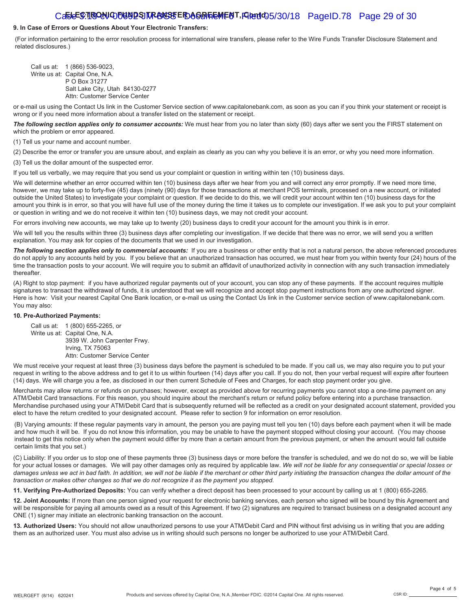#### Caste<sup>r</sup>STRONIC FUNDS TRANSTER AGREEMENT, FIRM 405/30/18 PageID.78 Page 29 of 30

#### **9. In Case of Errors or Questions About Your Electronic Transfers:**

(For information pertaining to the error resolution process for international wire transfers, please refer to the Wire Funds Transfer Disclosure Statement and related disclosures.)

Call us at: 1 (866) 536-9023, Write us at: Capital One, N.A. P O Box 31277 Salt Lake City, Utah 84130-0277 Attn: Customer Service Center

or e-mail us using the Contact Us link in the Customer Service section of www.capitalonebank.com, as soon as you can if you think your statement or receipt is wrong or if you need more information about a transfer listed on the statement or receipt.

The following section applies only to consumer accounts: We must hear from you no later than sixty (60) days after we sent you the FIRST statement on which the problem or error appeared.

(1) Tell us your name and account number.

(2) Describe the error or transfer you are unsure about, and explain as clearly as you can why you believe it is an error, or why you need more information. (3) Tell us the dollar amount of the suspected error.

If you tell us verbally, we may require that you send us your complaint or question in writing within ten (10) business days.

We will determine whether an error occurred within ten (10) business days after we hear from you and will correct any error promptly. If we need more time, however, we may take up to forty-five (45) days (ninety (90) days for those transactions at merchant POS terminals, processed on a new account, or initiated outside the United States) to investigate your complaint or question. If we decide to do this, we will credit your account within ten (10) business days for the amount you think is in error, so that you will have full use of the money during the time it takes us to complete our investigation. If we ask you to put your complaint or question in writing and we do not receive it within ten (10) business days, we may not credit your account.

For errors involving new accounts, we may take up to twenty (20) business days to credit your account for the amount you think is in error.

We will tell you the results within three (3) business days after completing our investigation. If we decide that there was no error, we will send you a written explanation. You may ask for copies of the documents that we used in our investigation.

The following section applies only to commercial accounts: If you are a business or other entity that is not a natural person, the above referenced procedures do not apply to any accounts held by you. If you believe that an unauthorized transaction has occurred, we must hear from you within twenty four (24) hours of the time the transaction posts to your account. We will require you to submit an affidavit of unauthorized activity in connection with any such transaction immediately thereafter.

(A) Right to stop payment: if you have authorized regular payments out of your account, you can stop any of these payments. If the account requires multiple signatures to transact the withdrawal of funds, it is understood that we will recognize and accept stop payment instructions from any one authorized signer. Here is how: Visit your nearest Capital One Bank location, or e-mail us using the Contact Us link in the Customer service section of www.capitalonebank.com. You may also:

#### **10. Pre-Authorized Payments:**

Call us at: 1 (800) 655-2265, or Write us at: Capital One, N.A. 3939 W. John Carpenter Frwy. Irving, TX 75063 Attn: Customer Service Center

We must receive your request at least three (3) business days before the payment is scheduled to be made. If you call us, we may also require you to put your request in writing to the above address and to get it to us within fourteen (14) days after you call. If you do not, then your verbal request will expire after fourteen (14) days. We will charge you a fee, as disclosed in our then current Schedule of Fees and Charges, for each stop payment order you give.

Merchants may allow returns or refunds on purchases; however, except as provided above for recurring payments you cannot stop a one-time payment on any ATM/Debit Card transactions. For this reason, you should inquire about the merchant's return or refund policy before entering into a purchase transaction. Merchandise purchased using your ATM/Debit Card that is subsequently returned will be reflected as a credit on your designated account statement, provided you elect to have the return credited to your designated account. Please refer to section 9 for information on error resolution.

(B) Varying amounts: If these regular payments vary in amount, the person you are paying must tell you ten (10) days before each payment when it will be made and how much it will be. If you do not know this information, you may be unable to have the payment stopped without closing your account. (You may choose instead to get this notice only when the payment would differ by more than a certain amount from the previous payment, or when the amount would fall outside certain limits that you set.)

(C) Liability: If you order us to stop one of these payments three (3) business days or more before the transfer is scheduled, and we do not do so, we will be liable for your actual losses or damages. We will pay other damages only as required by applicable law. *We will not be liable for any consequential or special losses or damages unless we act in bad faith. In addition, we will not be liable if the merchant or other third party initiating the transaction changes the dollar amount of the transaction or makes other changes so that we do not recognize it as the payment you stopped.*

**11. Verifying Pre-Authorized Deposits:** You can verify whether a direct deposit has been processed to your account by calling us at 1 (800) 655-2265.

**12. Joint Accounts:** If more than one person signed your request for electronic banking services, each person who signed will be bound by this Agreement and will be responsible for paying all amounts owed as a result of this Agreement. If two (2) signatures are required to transact business on a designated account any ONE (1) signer may initiate an electronic banking transaction on the account.

**13. Authorized Users:** You should not allow unauthorized persons to use your ATM/Debit Card and PIN without first advising us in writing that you are adding them as an authorized user. You must also advise us in writing should such persons no longer be authorized to use your ATM/Debit Card.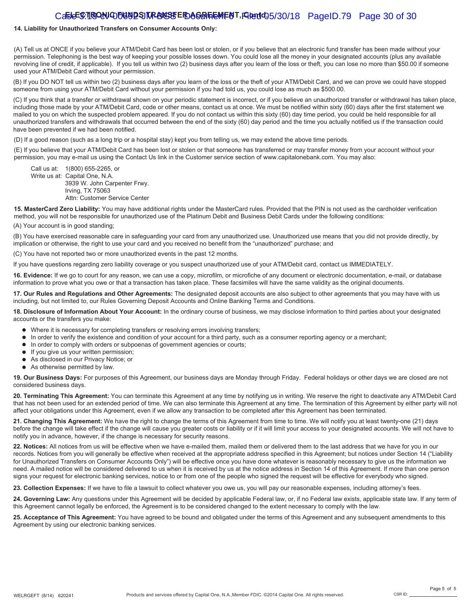#### Caste<sup>r</sup>S. IIISONIC FUNDS TRANSSFEID AGREEMENT, FIRENIC 5/30/18 PageID.79 Page 30 of 30

#### **14. Liability for Unauthorized Transfers on Consumer Accounts Only:**

(A) Tell us at ONCE if you believe your ATM/Debit Card has been lost or stolen, or if you believe that an electronic fund transfer has been made without your permission. Telephoning is the best way of keeping your possible losses down. You could lose all the money in your designated accounts (plus any available revolving line of credit, if applicable). If you tell us within two (2) business days after you learn of the loss or theft, you can lose no more than \$50.00 if someone used your ATM/Debit Card without your permission.

(B) If you DO NOT tell us within two (2) business days after you learn of the loss or the theft of your ATM/Debit Card, and we can prove we could have stopped someone from using your ATM/Debit Card without your permission if you had told us, you could lose as much as \$500.00.

(C) If you think that a transfer or withdrawal shown on your periodic statement is incorrect, or if you believe an unauthorized transfer or withdrawal has taken place, including those made by your ATM/Debit Card, code or other means, contact us at once. We must be notified within sixty (60) days after the first statement we mailed to you on which the suspected problem appeared. If you do not contact us within this sixty (60) day time period, you could be held responsible for all unauthorized transfers and withdrawals that occurred between the end of the sixty (60) day period and the time you actually notified us if the transaction could have been prevented if we had been notified.

(D) If a good reason (such as a long trip or a hospital stay) kept you from telling us, we may extend the above time periods.

(E) If you believe that your ATM/Debit Card has been lost or stolen or that someone has transferred or may transfer money from your account without your permission, you may e-mail us using the Contact Us link in the Customer service section of www.capitalonebank.com. You may also:

Call us at: 1(800) 655-2265, or Write us at: Capital One, N.A. 3939 W. John Carpenter Frwy. Irving, TX 75063 Attn: Customer Service Center

**15. MasterCard Zero Liability:** You may have additional rights under the MasterCard rules. Provided that the PIN is not used as the cardholder verification method, you will not be responsible for unauthorized use of the Platinum Debit and Business Debit Cards under the following conditions:

(A) Your account is in good standing;

(B) You have exercised reasonable care in safeguarding your card from any unauthorized use. Unauthorized use means that you did not provide directly, by implication or otherwise, the right to use your card and you received no benefit from the "unauthorized" purchase; and

(C) You have not reported two or more unauthorized events in the past 12 months.

If you have questions regarding zero liability coverage or you suspect unauthorized use of your ATM/Debit card, contact us IMMEDIATELY.

**16. Evidence:** If we go to court for any reason, we can use a copy, microfilm, or microfiche of any document or electronic documentation, e-mail, or database information to prove what you owe or that a transaction has taken place. These facsimiles will have the same validity as the original documents.

**17. Our Rules and Regulations and Other Agreements:** The designated deposit accounts are also subject to other agreements that you may have with us including, but not limited to, our Rules Governing Deposit Accounts and Online Banking Terms and Conditions.

**18. Disclosure of Information About Your Account:** In the ordinary course of business, we may disclose information to third parties about your designated accounts or the transfers you make:

- Where it is necessary for completing transfers or resolving errors involving transfers;
- In order to verify the existence and condition of your account for a third party, such as a consumer reporting agency or a merchant;
- $\bullet$  In order to comply with orders or subpoenas of government agencies or courts;
- **If you give us your written permission;**
- As disclosed in our Privacy Notice; or
- As otherwise permitted by law.

**19. Our Business Days:** For purposes of this Agreement, our business days are Monday through Friday. Federal holidays or other days we are closed are not considered business days.

**20. Terminating This Agreement:** You can terminate this Agreement at any time by notifying us in writing. We reserve the right to deactivate any ATM/Debit Card that has not been used for an extended period of time. We can also terminate this Agreement at any time. The termination of this Agreement by either party will not affect your obligations under this Agreement, even if we allow any transaction to be completed after this Agreement has been terminated.

**21. Changing This Agreement:** We have the right to change the terms of this Agreement from time to time. We will notify you at least twenty-one (21) days before the change will take effect if the change will cause you greater costs or liability or if it will limit your access to your designated accounts. We will not have to notify you in advance, however, if the change is necessary for security reasons.

**22. Notices:** All notices from us will be effective when we have e-mailed them, mailed them or delivered them to the last address that we have for you in our records. Notices from you will generally be effective when received at the appropriate address specified in this Agreement; but notices under Section 14 ("Liability for Unauthorized Transfers on Consumer Accounts Only") will be effective once you have done whatever is reasonably necessary to give us the information we need. A mailed notice will be considered delivered to us when it is received by us at the notice address in Section 14 of this Agreement. If more than one person signs your request for electronic banking services, notice to or from one of the people who signed the request will be effective for everybody who signed.

**23. Collection Expenses:** If we have to file a lawsuit to collect whatever you owe us, you will pay our reasonable expenses, including attorney's fees.

24. Governing Law: Any questions under this Agreement will be decided by applicable Federal law, or, if no Federal law exists, applicable state law. If any term of this Agreement cannot legally be enforced, the Agreement is to be considered changed to the extent necessary to comply with the law.

**25. Acceptance of This Agreement:** You have agreed to be bound and obligated under the terms of this Agreement and any subsequent amendments to this Agreement by using our electronic banking services.